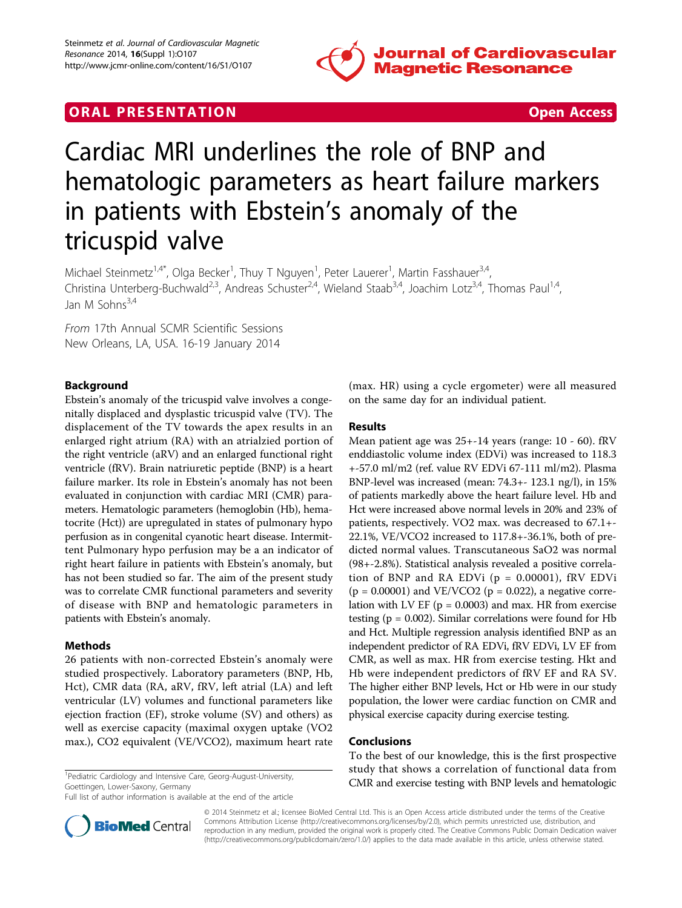

# **ORAL PRESENTATION CONSUMING ACCESS**



# Cardiac MRI underlines the role of BNP and hematologic parameters as heart failure markers in patients with Ebstein's anomaly of the tricuspid valve

Michael Steinmetz<sup>1,4\*</sup>, Olga Becker<sup>1</sup>, Thuy T Nguyen<sup>1</sup>, Peter Lauerer<sup>1</sup>, Martin Fasshauer<sup>3,4</sup>, Christina Unterberg-Buchwald<sup>2,3</sup>, Andreas Schuster<sup>2,4</sup>, Wieland Staab<sup>3,4</sup>, Joachim Lotz<sup>3,4</sup>, Thomas Paul<sup>1,4</sup>, Jan M Sohns $^{3,4}$ 

From 17th Annual SCMR Scientific Sessions New Orleans, LA, USA. 16-19 January 2014

## Background

Ebstein's anomaly of the tricuspid valve involves a congenitally displaced and dysplastic tricuspid valve (TV). The displacement of the TV towards the apex results in an enlarged right atrium (RA) with an atrialzied portion of the right ventricle (aRV) and an enlarged functional right ventricle (fRV). Brain natriuretic peptide (BNP) is a heart failure marker. Its role in Ebstein's anomaly has not been evaluated in conjunction with cardiac MRI (CMR) parameters. Hematologic parameters (hemoglobin (Hb), hematocrite (Hct)) are upregulated in states of pulmonary hypo perfusion as in congenital cyanotic heart disease. Intermittent Pulmonary hypo perfusion may be a an indicator of right heart failure in patients with Ebstein's anomaly, but has not been studied so far. The aim of the present study was to correlate CMR functional parameters and severity of disease with BNP and hematologic parameters in patients with Ebstein's anomaly.

#### Methods

26 patients with non-corrected Ebstein's anomaly were studied prospectively. Laboratory parameters (BNP, Hb, Hct), CMR data (RA, aRV, fRV, left atrial (LA) and left ventricular (LV) volumes and functional parameters like ejection fraction (EF), stroke volume (SV) and others) as well as exercise capacity (maximal oxygen uptake (VO2 max.), CO2 equivalent (VE/VCO2), maximum heart rate

<sup>1</sup>Pediatric Cardiology and Intensive Care, Georg-August-University, Goettingen, Lower-Saxony, Germany

Full list of author information is available at the end of the article

(max. HR) using a cycle ergometer) were all measured on the same day for an individual patient.

### Results

Mean patient age was 25+-14 years (range: 10 - 60). fRV enddiastolic volume index (EDVi) was increased to 118.3 +-57.0 ml/m2 (ref. value RV EDVi 67-111 ml/m2). Plasma BNP-level was increased (mean: 74.3+- 123.1 ng/l), in 15% of patients markedly above the heart failure level. Hb and Hct were increased above normal levels in 20% and 23% of patients, respectively. VO2 max. was decreased to 67.1+- 22.1%, VE/VCO2 increased to 117.8+-36.1%, both of predicted normal values. Transcutaneous SaO2 was normal (98+-2.8%). Statistical analysis revealed a positive correlation of BNP and RA EDVi  $(p = 0.00001)$ , fRV EDVi  $(p = 0.00001)$  and VE/VCO2 ( $p = 0.022$ ), a negative correlation with LV EF ( $p = 0.0003$ ) and max. HR from exercise testing ( $p = 0.002$ ). Similar correlations were found for Hb and Hct. Multiple regression analysis identified BNP as an independent predictor of RA EDVi, fRV EDVi, LV EF from CMR, as well as max. HR from exercise testing. Hkt and Hb were independent predictors of fRV EF and RA SV. The higher either BNP levels, Hct or Hb were in our study population, the lower were cardiac function on CMR and physical exercise capacity during exercise testing.

#### Conclusions

To the best of our knowledge, this is the first prospective study that shows a correlation of functional data from CMR and exercise testing with BNP levels and hematologic <sup>1</sup>



© 2014 Steinmetz et al.; licensee BioMed Central Ltd. This is an Open Access article distributed under the terms of the Creative Commons Attribution License [\(http://creativecommons.org/licenses/by/2.0](http://creativecommons.org/licenses/by/2.0)), which permits unrestricted use, distribution, and reproduction in any medium, provided the original work is properly cited. The Creative Commons Public Domain Dedication waiver [\(http://creativecommons.org/publicdomain/zero/1.0/](http://creativecommons.org/publicdomain/zero/1.0/)) applies to the data made available in this article, unless otherwise stated.